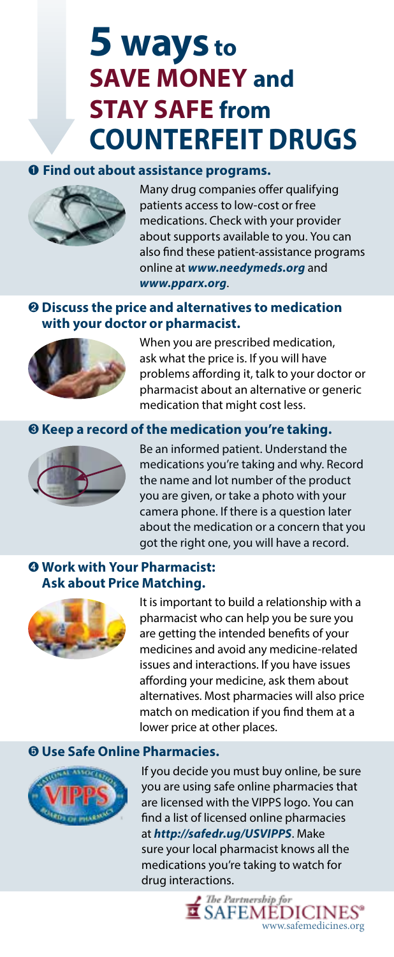# **5 ways to SAVE MONEY and STAY SAFE from COUNTERFEIT DRUGS**

### ➊ **Find out about assistance programs.**



Many drug companies offer qualifying patients access to low-cost or free medications. Check with your provider about supports available to you. You can also find these patient-assistance programs online at *www.needymeds.org* and *www.pparx.org*.

## ➋ **Discuss the price and alternatives to medication with your doctor or pharmacist.**



When you are prescribed medication, ask what the price is. If you will have problems affording it, talk to your doctor or pharmacist about an alternative or generic medication that might cost less.

### ➌ **Keep a record of the medication you're taking.**



Be an informed patient. Understand the medications you're taking and why. Record the name and lot number of the product you are given, or take a photo with your camera phone. If there is a question later about the medication or a concern that you got the right one, you will have a record.

## ➍ **Work with Your Pharmacist: Ask about Price Matching.**

It is important to build a relationship with a pharmacist who can help you be sure you are getting the intended benefits of your medicines and avoid any medicine-related issues and interactions. If you have issues affording your medicine, ask them about alternatives. Most pharmacies will also price match on medication if you find them at a lower price at other places.

## ➎ **Use Safe Online Pharmacies.**

If you decide you must buy online, be sure you are using safe online pharmacies that are licensed with the VIPPS logo. You can find a list of licensed online pharmacies at *http://safedr.ug/USVIPPS*. Make sure your local pharmacist knows all the medications you're taking to watch for drug interactions.